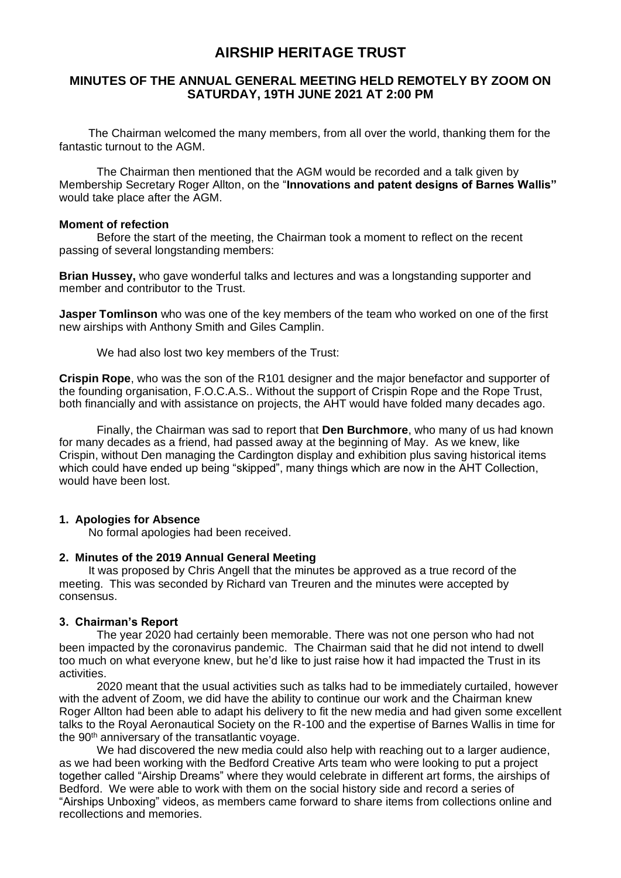# **AIRSHIP HERITAGE TRUST**

# **MINUTES OF THE ANNUAL GENERAL MEETING HELD REMOTELY BY ZOOM ON SATURDAY, 19TH JUNE 2021 AT 2:00 PM**

The Chairman welcomed the many members, from all over the world, thanking them for the fantastic turnout to the AGM.

The Chairman then mentioned that the AGM would be recorded and a talk given by Membership Secretary Roger Allton, on the "**Innovations and patent designs of Barnes Wallis"**  would take place after the AGM.

# **Moment of refection**

Before the start of the meeting, the Chairman took a moment to reflect on the recent passing of several longstanding members:

**Brian Hussey,** who gave wonderful talks and lectures and was a longstanding supporter and member and contributor to the Trust.

**Jasper Tomlinson** who was one of the key members of the team who worked on one of the first new airships with Anthony Smith and Giles Camplin.

We had also lost two key members of the Trust:

**Crispin Rope**, who was the son of the R101 designer and the major benefactor and supporter of the founding organisation, F.O.C.A.S.. Without the support of Crispin Rope and the Rope Trust, both financially and with assistance on projects, the AHT would have folded many decades ago.

Finally, the Chairman was sad to report that **Den Burchmore**, who many of us had known for many decades as a friend, had passed away at the beginning of May. As we knew, like Crispin, without Den managing the Cardington display and exhibition plus saving historical items which could have ended up being "skipped", many things which are now in the AHT Collection, would have been lost.

## **1. Apologies for Absence**

No formal apologies had been received.

## **2. Minutes of the 2019 Annual General Meeting**

It was proposed by Chris Angell that the minutes be approved as a true record of the meeting. This was seconded by Richard van Treuren and the minutes were accepted by consensus.

## **3. Chairman's Report**

The year 2020 had certainly been memorable. There was not one person who had not been impacted by the coronavirus pandemic. The Chairman said that he did not intend to dwell too much on what everyone knew, but he'd like to just raise how it had impacted the Trust in its activities.

2020 meant that the usual activities such as talks had to be immediately curtailed, however with the advent of Zoom, we did have the ability to continue our work and the Chairman knew Roger Allton had been able to adapt his delivery to fit the new media and had given some excellent talks to the Royal Aeronautical Society on the R-100 and the expertise of Barnes Wallis in time for the  $90<sup>th</sup>$  anniversary of the transatlantic voyage.

We had discovered the new media could also help with reaching out to a larger audience, as we had been working with the Bedford Creative Arts team who were looking to put a project together called "Airship Dreams" where they would celebrate in different art forms, the airships of Bedford. We were able to work with them on the social history side and record a series of "Airships Unboxing" videos, as members came forward to share items from collections online and recollections and memories.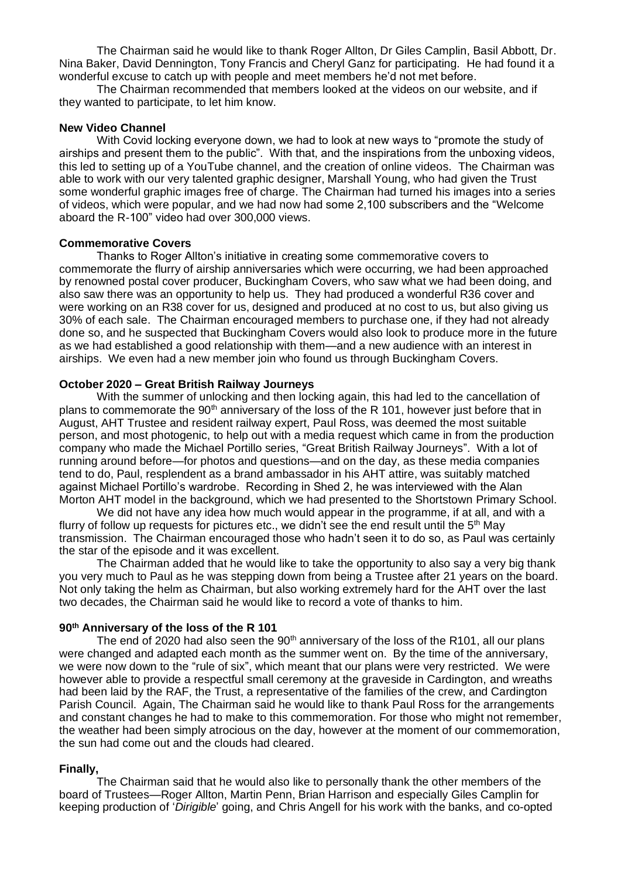The Chairman said he would like to thank Roger Allton, Dr Giles Camplin, Basil Abbott, Dr. Nina Baker, David Dennington, Tony Francis and Cheryl Ganz for participating. He had found it a wonderful excuse to catch up with people and meet members he'd not met before.

The Chairman recommended that members looked at the videos on our website, and if they wanted to participate, to let him know.

#### **New Video Channel**

With Covid locking everyone down, we had to look at new ways to "promote the study of airships and present them to the public". With that, and the inspirations from the unboxing videos, this led to setting up of a YouTube channel, and the creation of online videos. The Chairman was able to work with our very talented graphic designer, Marshall Young, who had given the Trust some wonderful graphic images free of charge. The Chairman had turned his images into a series of videos, which were popular, and we had now had some 2,100 subscribers and the "Welcome aboard the R-100" video had over 300,000 views.

#### **Commemorative Covers**

Thanks to Roger Allton's initiative in creating some commemorative covers to commemorate the flurry of airship anniversaries which were occurring, we had been approached by renowned postal cover producer, Buckingham Covers, who saw what we had been doing, and also saw there was an opportunity to help us. They had produced a wonderful R36 cover and were working on an R38 cover for us, designed and produced at no cost to us, but also giving us 30% of each sale. The Chairman encouraged members to purchase one, if they had not already done so, and he suspected that Buckingham Covers would also look to produce more in the future as we had established a good relationship with them—and a new audience with an interest in airships. We even had a new member join who found us through Buckingham Covers.

#### **October 2020 – Great British Railway Journeys**

With the summer of unlocking and then locking again, this had led to the cancellation of plans to commemorate the 90<sup>th</sup> anniversary of the loss of the R 101, however just before that in August, AHT Trustee and resident railway expert, Paul Ross, was deemed the most suitable person, and most photogenic, to help out with a media request which came in from the production company who made the Michael Portillo series, "Great British Railway Journeys". With a lot of running around before—for photos and questions—and on the day, as these media companies tend to do, Paul, resplendent as a brand ambassador in his AHT attire, was suitably matched against Michael Portillo's wardrobe. Recording in Shed 2, he was interviewed with the Alan Morton AHT model in the background, which we had presented to the Shortstown Primary School.

We did not have any idea how much would appear in the programme, if at all, and with a flurry of follow up requests for pictures etc., we didn't see the end result until the  $5<sup>th</sup>$  May transmission. The Chairman encouraged those who hadn't seen it to do so, as Paul was certainly the star of the episode and it was excellent.

The Chairman added that he would like to take the opportunity to also say a very big thank you very much to Paul as he was stepping down from being a Trustee after 21 years on the board. Not only taking the helm as Chairman, but also working extremely hard for the AHT over the last two decades, the Chairman said he would like to record a vote of thanks to him.

#### **90th Anniversary of the loss of the R 101**

The end of 2020 had also seen the  $90<sup>th</sup>$  anniversary of the loss of the R101, all our plans were changed and adapted each month as the summer went on. By the time of the anniversary, we were now down to the "rule of six", which meant that our plans were very restricted. We were however able to provide a respectful small ceremony at the graveside in Cardington, and wreaths had been laid by the RAF, the Trust, a representative of the families of the crew, and Cardington Parish Council. Again, The Chairman said he would like to thank Paul Ross for the arrangements and constant changes he had to make to this commemoration. For those who might not remember, the weather had been simply atrocious on the day, however at the moment of our commemoration, the sun had come out and the clouds had cleared.

#### **Finally,**

The Chairman said that he would also like to personally thank the other members of the board of Trustees—Roger Allton, Martin Penn, Brian Harrison and especially Giles Camplin for keeping production of '*Dirigible*' going, and Chris Angell for his work with the banks, and co-opted